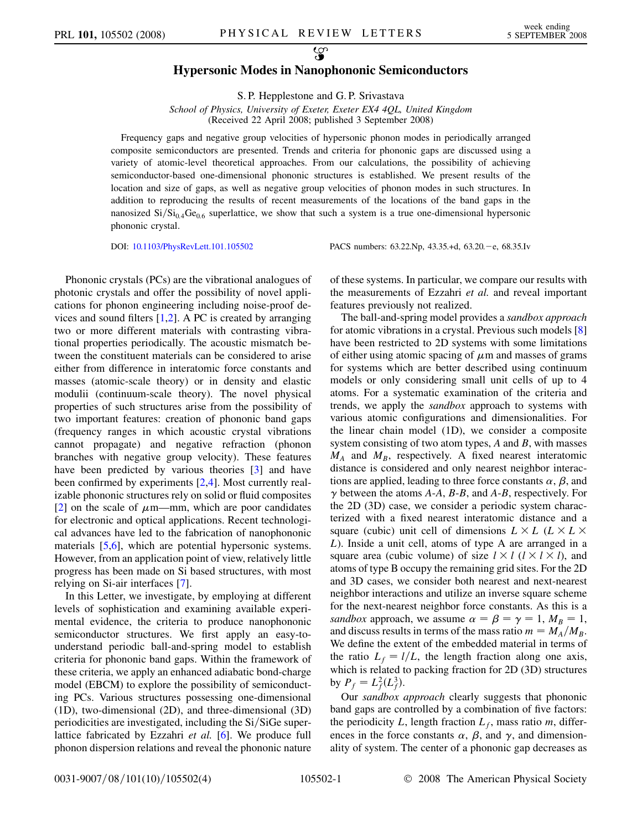## $\mathcal{L}$ Hypersonic Modes in Nanophononic Semiconductors

S. P. Hepplestone and G. P. Srivastava

School of Physics, University of Exeter, Exeter EX4 4OL, United Kingdom (Received 22 April 2008; published 3 September 2008)

Frequency gaps and negative group velocities of hypersonic phonon modes in periodically arranged composite semiconductors are presented. Trends and criteria for phononic gaps are discussed using a variety of atomic-level theoretical approaches. From our calculations, the possibility of achieving semiconductor-based one-dimensional phononic structures is established. We present results of the location and size of gaps, as well as negative group velocities of phonon modes in such structures. In addition to reproducing the results of recent measurements of the locations of the band gaps in the nanosized  $Si/Si<sub>0.4</sub>Ge<sub>0.6</sub>$  superlattice, we show that such a system is a true one-dimensional hypersonic phononic crystal.

DOI: [10.1103/PhysRevLett.101.105502](http://dx.doi.org/10.1103/PhysRevLett.101.105502) PACS numbers: 63.22.Np, 43.35.+d, 63.20. -e, 68.35.Iv

Phononic crystals (PCs) are the vibrational analogues of photonic crystals and offer the possibility of novel applications for phonon engineering including noise-proof devices and sound filters  $[1,2]$  $[1,2]$ . A PC is created by arranging two or more different materials with contrasting vibrational properties periodically. The acoustic mismatch between the constituent materials can be considered to arise either from difference in interatomic force constants and masses (atomic-scale theory) or in density and elastic modulii (continuum-scale theory). The novel physical properties of such structures arise from the possibility of two important features: creation of phononic band gaps (frequency ranges in which acoustic crystal vibrations cannot propagate) and negative refraction (phonon branches with negative group velocity). These features have been predicted by various theories [\[3](#page-3-0)] and have been confirmed by experiments [[2,4\]](#page-3-0). Most currently realizable phononic structures rely on solid or fluid composites [\[2\]](#page-3-0) on the scale of  $\mu$ m—mm, which are poor candidates for electronic and optical applications. Recent technological advances have led to the fabrication of nanophononic materials [\[5,6\]](#page-3-0), which are potential hypersonic systems. However, from an application point of view, relatively little progress has been made on Si based structures, with most relying on Si-air interfaces [[7](#page-3-0)].

In this Letter, we investigate, by employing at different levels of sophistication and examining available experimental evidence, the criteria to produce nanophononic semiconductor structures. We first apply an easy-tounderstand periodic ball-and-spring model to establish criteria for phononic band gaps. Within the framework of these criteria, we apply an enhanced adiabatic bond-charge model (EBCM) to explore the possibility of semiconducting PCs. Various structures possessing one-dimensional (1D), two-dimensional (2D), and three-dimensional (3D) periodicities are investigated, including the  $Si/SiGe$  superlattice fabricated by Ezzahri et al. [\[6\]](#page-3-0). We produce full phonon dispersion relations and reveal the phononic nature of these systems. In particular, we compare our results with the measurements of Ezzahri et al. and reveal important features previously not realized.

The ball-and-spring model provides a sandbox approach for atomic vibrations in a crystal. Previous such models [\[8\]](#page-3-0) have been restricted to 2D systems with some limitations of either using atomic spacing of  $\mu$ m and masses of grams for systems which are better described using continuum models or only considering small unit cells of up to 4 atoms. For a systematic examination of the criteria and trends, we apply the sandbox approach to systems with various atomic configurations and dimensionalities. For the linear chain model (1D), we consider a composite system consisting of two atom types,  $A$  and  $B$ , with masses  $M_A$  and  $M_B$ , respectively. A fixed nearest interatomic distance is considered and only nearest neighbor interactions are applied, leading to three force constants  $\alpha$ ,  $\beta$ , and  $\gamma$  between the atoms A-A, B-B, and A-B, respectively. For the 2D (3D) case, we consider a periodic system characterized with a fixed nearest interatomic distance and a square (cubic) unit cell of dimensions  $L \times L$  ( $L \times L \times L$ L). Inside a unit cell, atoms of type A are arranged in a square area (cubic volume) of size  $l \times l$  ( $l \times l \times l$ ), and atoms of type B occupy the remaining grid sites. For the 2D and 3D cases, we consider both nearest and next-nearest neighbor interactions and utilize an inverse square scheme for the next-nearest neighbor force constants. As this is a sandbox approach, we assume  $\alpha = \beta = \gamma = 1, M_B = 1$ , and discuss results in terms of the mass ratio  $m = M_A/M_B$ . We define the extent of the embedded material in terms of the ratio  $L_f = l/L$ , the length fraction along one axis, which is related to packing fraction for 2D (3D) structures by  $P_f = L_f^2(L_f^3)$ .

Our sandbox approach clearly suggests that phononic band gaps are controlled by a combination of five factors: the periodicity L, length fraction  $L_f$ , mass ratio m, differences in the force constants  $\alpha$ ,  $\beta$ , and  $\gamma$ , and dimensionality of system. The center of a phononic gap decreases as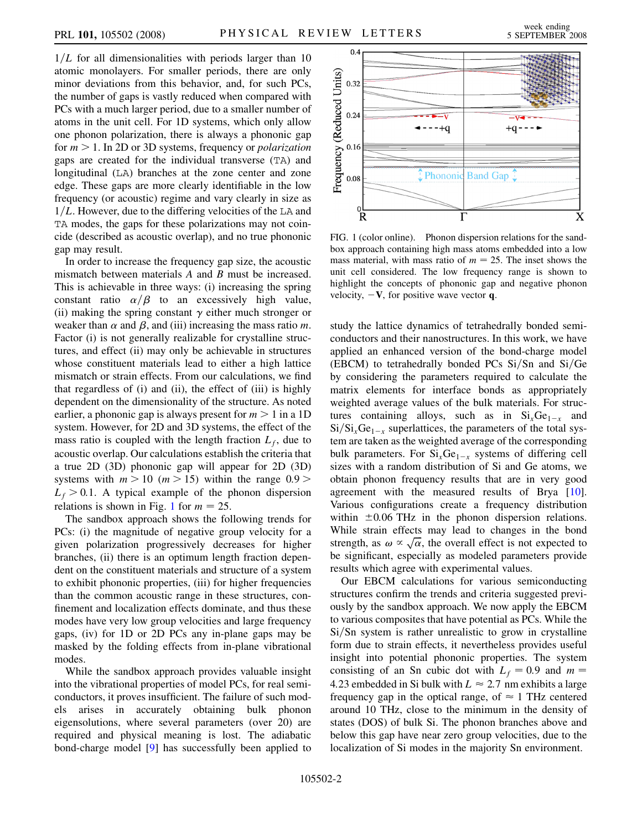$1/L$  for all dimensionalities with periods larger than 10 atomic monolayers. For smaller periods, there are only minor deviations from this behavior, and, for such PCs, the number of gaps is vastly reduced when compared with PCs with a much larger period, due to a smaller number of atoms in the unit cell. For 1D systems, which only allow one phonon polarization, there is always a phononic gap for  $m > 1$ . In 2D or 3D systems, frequency or *polarization* gaps are created for the individual transverse (TA) and longitudinal (LA) branches at the zone center and zone edge. These gaps are more clearly identifiable in the low frequency (or acoustic) regime and vary clearly in size as  $1/L$ . However, due to the differing velocities of the LA and TA modes, the gaps for these polarizations may not coincide (described as acoustic overlap), and no true phononic gap may result.

In order to increase the frequency gap size, the acoustic mismatch between materials A and B must be increased. This is achievable in three ways: (i) increasing the spring constant ratio  $\alpha/\beta$  to an excessively high value, (ii) making the spring constant  $\gamma$  either much stronger or weaker than  $\alpha$  and  $\beta$ , and (iii) increasing the mass ratio m. Factor (i) is not generally realizable for crystalline structures, and effect (ii) may only be achievable in structures whose constituent materials lead to either a high lattice mismatch or strain effects. From our calculations, we find that regardless of (i) and (ii), the effect of (iii) is highly dependent on the dimensionality of the structure. As noted earlier, a phononic gap is always present for  $m > 1$  in a 1D system. However, for 2D and 3D systems, the effect of the mass ratio is coupled with the length fraction  $L_f$ , due to acoustic overlap. Our calculations establish the criteria that a true 2D (3D) phononic gap will appear for 2D (3D) systems with  $m > 10$  ( $m > 15$ ) within the range 0.9 >  $L_f > 0.1$ . A typical example of the phonon dispersion relations is shown in Fig. 1 for  $m = 25$ .

The sandbox approach shows the following trends for PCs: (i) the magnitude of negative group velocity for a given polarization progressively decreases for higher branches, (ii) there is an optimum length fraction dependent on the constituent materials and structure of a system to exhibit phononic properties, (iii) for higher frequencies than the common acoustic range in these structures, confinement and localization effects dominate, and thus these modes have very low group velocities and large frequency gaps, (iv) for 1D or 2D PCs any in-plane gaps may be masked by the folding effects from in-plane vibrational modes.

While the sandbox approach provides valuable insight into the vibrational properties of model PCs, for real semiconductors, it proves insufficient. The failure of such models arises in accurately obtaining bulk phonon eigensolutions, where several parameters (over 20) are required and physical meaning is lost. The adiabatic bond-charge model [[9\]](#page-3-0) has successfully been applied to



FIG. 1 (color online). Phonon dispersion relations for the sandbox approach containing high mass atoms embedded into a low mass material, with mass ratio of  $m = 25$ . The inset shows the unit cell considered. The low frequency range is shown to highlight the concepts of phononic gap and negative phonon velocity,  $-V$ , for positive wave vector q.

study the lattice dynamics of tetrahedrally bonded semiconductors and their nanostructures. In this work, we have applied an enhanced version of the bond-charge model (EBCM) to tetrahedrally bonded PCs  $Si/Sn$  and  $Si/Ge$ by considering the parameters required to calculate the matrix elements for interface bonds as appropriately weighted average values of the bulk materials. For structures containing alloys, such as in  $Si_xGe_{1-x}$  and  $Si/Si_xGe_{1-x}$  superlattices, the parameters of the total system are taken as the weighted average of the corresponding bulk parameters. For  $Si<sub>x</sub>Ge<sub>1-x</sub>$  systems of differing cell sizes with a random distribution of Si and Ge atoms, we obtain phonon frequency results that are in very good agreement with the measured results of Brya [[10\]](#page-3-0). Various configurations create a frequency distribution within  $\pm 0.06$  THz in the phonon dispersion relations. While strain effects may lead to changes in the bond While strain effects may lead to changes in the bond<br>strength, as  $\omega \propto \sqrt{\alpha}$ , the overall effect is not expected to be significant, especially as modeled parameters provide results which agree with experimental values.

Our EBCM calculations for various semiconducting structures confirm the trends and criteria suggested previously by the sandbox approach. We now apply the EBCM to various composites that have potential as PCs. While the  $Si/Sn$  system is rather unrealistic to grow in crystalline form due to strain effects, it nevertheless provides useful insight into potential phononic properties. The system consisting of an Sn cubic dot with  $L_f = 0.9$  and  $m =$ 4.23 embedded in Si bulk with  $L \approx 2.7$  nm exhibits a large frequency gap in the optical range, of  $\approx 1$  THz centered around 10 THz, close to the minimum in the density of states (DOS) of bulk Si. The phonon branches above and below this gap have near zero group velocities, due to the localization of Si modes in the majority Sn environment.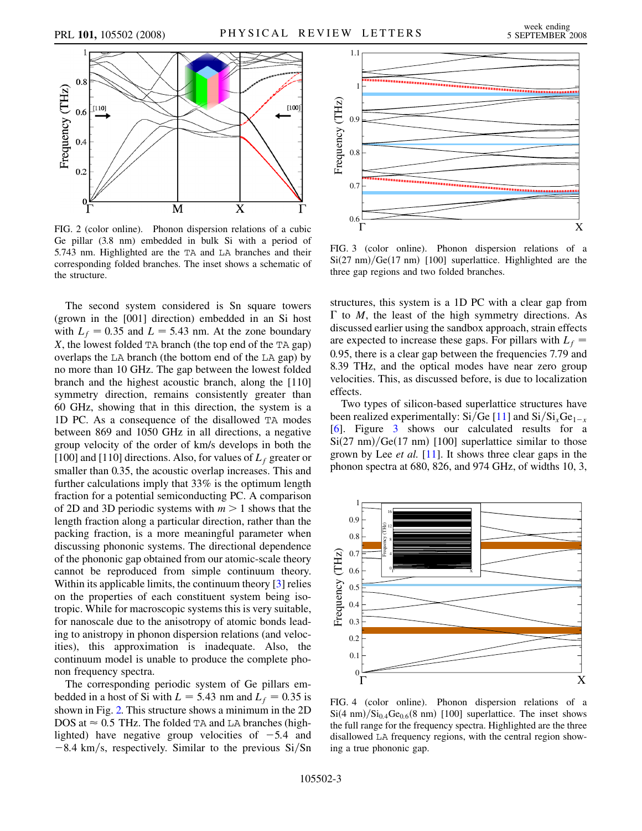<span id="page-2-0"></span>

FIG. 2 (color online). Phonon dispersion relations of a cubic Ge pillar (3.8 nm) embedded in bulk Si with a period of 5.743 nm. Highlighted are the TA and LA branches and their corresponding folded branches. The inset shows a schematic of the structure.

The second system considered is Sn square towers (grown in the [001] direction) embedded in an Si host with  $L_f = 0.35$  and  $L = 5.43$  nm. At the zone boundary X, the lowest folded TA branch (the top end of the TA gap) overlaps the LA branch (the bottom end of the LA gap) by no more than 10 GHz. The gap between the lowest folded branch and the highest acoustic branch, along the [110] symmetry direction, remains consistently greater than 60 GHz, showing that in this direction, the system is a 1D PC. As a consequence of the disallowed TA modes between 869 and 1050 GHz in all directions, a negative group velocity of the order of km/s develops in both the [100] and [110] directions. Also, for values of  $L_f$  greater or smaller than 0.35, the acoustic overlap increases. This and further calculations imply that 33% is the optimum length fraction for a potential semiconducting PC. A comparison of 2D and 3D periodic systems with  $m > 1$  shows that the length fraction along a particular direction, rather than the packing fraction, is a more meaningful parameter when discussing phononic systems. The directional dependence of the phononic gap obtained from our atomic-scale theory cannot be reproduced from simple continuum theory. Within its applicable limits, the continuum theory [\[3\]](#page-3-0) relies on the properties of each constituent system being isotropic. While for macroscopic systems this is very suitable, for nanoscale due to the anisotropy of atomic bonds leading to anistropy in phonon dispersion relations (and velocities), this approximation is inadequate. Also, the continuum model is unable to produce the complete phonon frequency spectra.

The corresponding periodic system of Ge pillars embedded in a host of Si with  $L = 5.43$  nm and  $L_f = 0.35$  is shown in Fig. 2. This structure shows a minimum in the 2D DOS at  $\approx 0.5$  THz. The folded TA and LA branches (highlighted) have negative group velocities of  $-5.4$  and  $-8.4 \text{ km/s}$ , respectively. Similar to the previous Si/Sn



FIG. 3 (color online). Phonon dispersion relations of a  $Si(27 \text{ nm})/Ge(17 \text{ nm})$  [100] superlattice. Highlighted are the three gap regions and two folded branches.

structures, this system is a 1D PC with a clear gap from  $\Gamma$  to *M*, the least of the high symmetry directions. As discussed earlier using the sandbox approach, strain effects are expected to increase these gaps. For pillars with  $L_f$  = 0:95, there is a clear gap between the frequencies 7.79 and 8.39 THz, and the optical modes have near zero group velocities. This, as discussed before, is due to localization effects.

Two types of silicon-based superlattice structures have been realized experimentally: Si/Ge [\[11\]](#page-3-0) and Si/Si<sub>x</sub>Ge<sub>1-x</sub> [\[6\]](#page-3-0). Figure 3 shows our calculated results for a  $Si(27 \text{ nm})/Ge(17 \text{ nm})$  [100] superlattice similar to those grown by Lee et al. [\[11\]](#page-3-0). It shows three clear gaps in the phonon spectra at 680, 826, and 974 GHz, of widths 10, 3,



FIG. 4 (color online). Phonon dispersion relations of a  $Si(4 \text{ nm})/Si_{0.4}Ge_{0.6}$  $(8 \text{ nm})$  [100] superlattice. The inset shows the full range for the frequency spectra. Highlighted are the three disallowed LA frequency regions, with the central region showing a true phononic gap.